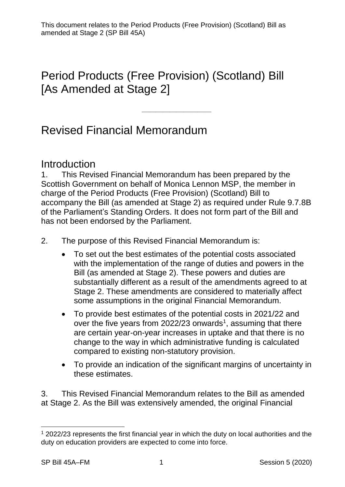# Period Products (Free Provision) (Scotland) Bill [As Amended at Stage 2]

# Revised Financial Memorandum

### Introduction

1. This Revised Financial Memorandum has been prepared by the Scottish Government on behalf of Monica Lennon MSP, the member in charge of the Period Products (Free Provision) (Scotland) Bill to accompany the Bill (as amended at Stage 2) as required under Rule 9.7.8B of the Parliament's Standing Orders. It does not form part of the Bill and has not been endorsed by the Parliament.

————————————————————

2. The purpose of this Revised Financial Memorandum is:

- To set out the best estimates of the potential costs associated with the implementation of the range of duties and powers in the Bill (as amended at Stage 2). These powers and duties are substantially different as a result of the amendments agreed to at Stage 2. These amendments are considered to materially affect some assumptions in the original Financial Memorandum.
- To provide best estimates of the potential costs in 2021/22 and over the five years from 2022/23 onwards<sup>1</sup>, assuming that there are certain year-on-year increases in uptake and that there is no change to the way in which administrative funding is calculated compared to existing non-statutory provision.
- To provide an indication of the significant margins of uncertainty in these estimates.

3. This Revised Financial Memorandum relates to the Bill as amended at Stage 2. As the Bill was extensively amended, the original Financial

 $1$  2022/23 represents the first financial year in which the duty on local authorities and the duty on education providers are expected to come into force.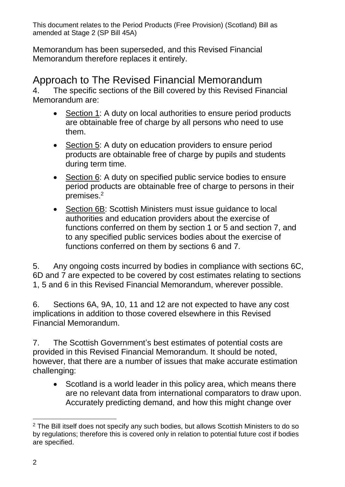Memorandum has been superseded, and this Revised Financial Memorandum therefore replaces it entirely.

Approach to The Revised Financial Memorandum 4. The specific sections of the Bill covered by this Revised Financial Memorandum are:

- Section 1: A duty on local authorities to ensure period products are obtainable free of charge by all persons who need to use them.
- Section 5: A duty on education providers to ensure period products are obtainable free of charge by pupils and students during term time.
- Section 6: A duty on specified public service bodies to ensure period products are obtainable free of charge to persons in their premises.<sup>2</sup>
- Section 6B: Scottish Ministers must issue guidance to local authorities and education providers about the exercise of functions conferred on them by section 1 or 5 and section 7, and to any specified public services bodies about the exercise of functions conferred on them by sections 6 and 7.

5. Any ongoing costs incurred by bodies in compliance with sections 6C, 6D and 7 are expected to be covered by cost estimates relating to sections 1, 5 and 6 in this Revised Financial Memorandum, wherever possible.

6. Sections 6A, 9A, 10, 11 and 12 are not expected to have any cost implications in addition to those covered elsewhere in this Revised Financial Memorandum.

7. The Scottish Government's best estimates of potential costs are provided in this Revised Financial Memorandum. It should be noted, however, that there are a number of issues that make accurate estimation challenging:

• Scotland is a world leader in this policy area, which means there are no relevant data from international comparators to draw upon. Accurately predicting demand, and how this might change over

<sup>&</sup>lt;u>.</u> <sup>2</sup> The Bill itself does not specify any such bodies, but allows Scottish Ministers to do so by regulations; therefore this is covered only in relation to potential future cost if bodies are specified.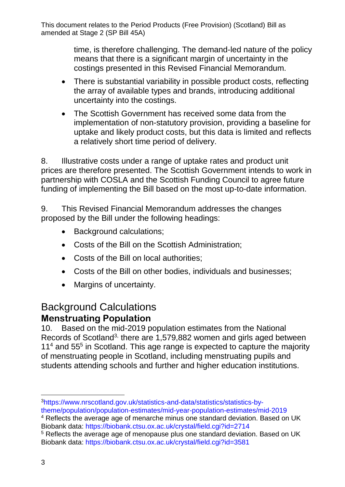> time, is therefore challenging. The demand-led nature of the policy means that there is a significant margin of uncertainty in the costings presented in this Revised Financial Memorandum.

- There is substantial variability in possible product costs, reflecting the array of available types and brands, introducing additional uncertainty into the costings.
- The Scottish Government has received some data from the implementation of non-statutory provision, providing a baseline for uptake and likely product costs, but this data is limited and reflects a relatively short time period of delivery.

8. Illustrative costs under a range of uptake rates and product unit prices are therefore presented. The Scottish Government intends to work in partnership with COSLA and the Scottish Funding Council to agree future funding of implementing the Bill based on the most up-to-date information.

9. This Revised Financial Memorandum addresses the changes proposed by the Bill under the following headings:

- Background calculations;
- Costs of the Bill on the Scottish Administration;
- Costs of the Bill on local authorities;
- Costs of the Bill on other bodies, individuals and businesses;
- Margins of uncertainty.

# Background Calculations **Menstruating Population**

10. Based on the mid-2019 population estimates from the National Records of Scotland<sup>3,</sup> there are 1,579,882 women and girls aged between 11<sup>4</sup> and 55<sup>5</sup> in Scotland. This age range is expected to capture the majority of menstruating people in Scotland, including menstruating pupils and students attending schools and further and higher education institutions.

 $\overline{a}$ 3[https://www.nrscotland.gov.uk/statistics-and-data/statistics/statistics-by](https://www.nrscotland.gov.uk/statistics-and-data/statistics/statistics-by-theme/population/population-estimates/mid-year-population-estimates/mid-2019)[theme/population/population-estimates/mid-year-population-estimates/mid-2019](https://www.nrscotland.gov.uk/statistics-and-data/statistics/statistics-by-theme/population/population-estimates/mid-year-population-estimates/mid-2019)

<sup>4</sup> Reflects the average age of menarche minus one standard deviation. Based on UK Biobank data:<https://biobank.ctsu.ox.ac.uk/crystal/field.cgi?id=2714>

<sup>5</sup> Reflects the average age of menopause plus one standard deviation. Based on UK Biobank data:<https://biobank.ctsu.ox.ac.uk/crystal/field.cgi?id=3581>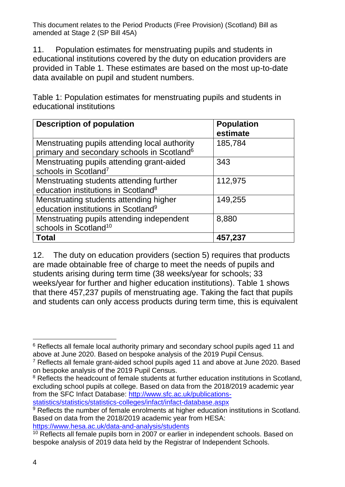11. Population estimates for menstruating pupils and students in educational institutions covered by the duty on education providers are provided in Table 1. These estimates are based on the most up-to-date data available on pupil and student numbers.

Table 1: Population estimates for menstruating pupils and students in educational institutions

| <b>Description of population</b>                                                                        | <b>Population</b><br>estimate |
|---------------------------------------------------------------------------------------------------------|-------------------------------|
| Menstruating pupils attending local authority<br>primary and secondary schools in Scotland <sup>6</sup> | 185,784                       |
| Menstruating pupils attending grant-aided<br>schools in Scotland <sup>7</sup>                           | 343                           |
| Menstruating students attending further<br>education institutions in Scotland <sup>8</sup>              | 112,975                       |
| Menstruating students attending higher<br>education institutions in Scotland <sup>9</sup>               | 149,255                       |
| Menstruating pupils attending independent<br>schools in Scotland <sup>10</sup>                          | 8,880                         |
| <b>Total</b>                                                                                            | 457,237                       |

12. The duty on education providers (section 5) requires that products are made obtainable free of charge to meet the needs of pupils and students arising during term time (38 weeks/year for schools; 33 weeks/year for further and higher education institutions). Table 1 shows that there 457,237 pupils of menstruating age. Taking the fact that pupils and students can only access products during term time, this is equivalent

<sup>&</sup>lt;u>.</u> <sup>6</sup> Reflects all female local authority primary and secondary school pupils aged 11 and above at June 2020. Based on bespoke analysis of the 2019 Pupil Census.

<sup>7</sup> Reflects all female grant-aided school pupils aged 11 and above at June 2020. Based on bespoke analysis of the 2019 Pupil Census.

<sup>&</sup>lt;sup>8</sup> Reflects the headcount of female students at further education institutions in Scotland. excluding school pupils at college. Based on data from the 2018/2019 academic year from the SFC Infact Database: [http://www.sfc.ac.uk/publications](http://www.sfc.ac.uk/publications-statistics/statistics/statistics-colleges/infact/infact-database.aspx)[statistics/statistics/statistics-colleges/infact/infact-database.aspx](http://www.sfc.ac.uk/publications-statistics/statistics/statistics-colleges/infact/infact-database.aspx)

<sup>&</sup>lt;sup>9</sup> Reflects the number of female enrolments at higher education institutions in Scotland. Based on data from the 2018/2019 academic year from HESA: <https://www.hesa.ac.uk/data-and-analysis/students>

<sup>&</sup>lt;sup>10</sup> Reflects all female pupils born in 2007 or earlier in independent schools. Based on bespoke analysis of 2019 data held by the Registrar of Independent Schools.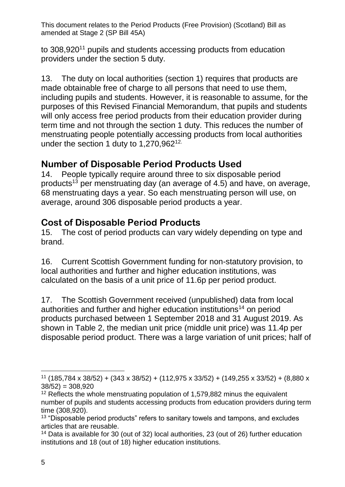to 308,920<sup>11</sup> pupils and students accessing products from education providers under the section 5 duty.

13. The duty on local authorities (section 1) requires that products are made obtainable free of charge to all persons that need to use them, including pupils and students. However, it is reasonable to assume, for the purposes of this Revised Financial Memorandum, that pupils and students will only access free period products from their education provider during term time and not through the section 1 duty. This reduces the number of menstruating people potentially accessing products from local authorities under the section 1 duty to 1,270,962<sup>12.</sup>

#### **Number of Disposable Period Products Used**

14. People typically require around three to six disposable period products<sup>13</sup> per menstruating day (an average of 4.5) and have, on average, 68 menstruating days a year. So each menstruating person will use, on average, around 306 disposable period products a year.

## **Cost of Disposable Period Products**

15. The cost of period products can vary widely depending on type and brand.

16. Current Scottish Government funding for non-statutory provision, to local authorities and further and higher education institutions, was calculated on the basis of a unit price of 11.6p per period product.

17. The Scottish Government received (unpublished) data from local authorities and further and higher education institutions<sup>14</sup> on period products purchased between 1 September 2018 and 31 August 2019. As shown in Table 2, the median unit price (middle unit price) was 11.4p per disposable period product. There was a large variation of unit prices; half of

 $\overline{a}$ <sup>11</sup> (185,784 x 38/52) + (343 x 38/52) + (112,975 x 33/52) + (149,255 x 33/52) + (8,880 x  $38/52$ ) =  $308,920$ 

<sup>&</sup>lt;sup>12</sup> Reflects the whole menstruating population of 1,579,882 minus the equivalent number of pupils and students accessing products from education providers during term time (308,920).

<sup>&</sup>lt;sup>13</sup> "Disposable period products" refers to sanitary towels and tampons, and excludes articles that are reusable.

<sup>14</sup> Data is available for 30 (out of 32) local authorities, 23 (out of 26) further education institutions and 18 (out of 18) higher education institutions.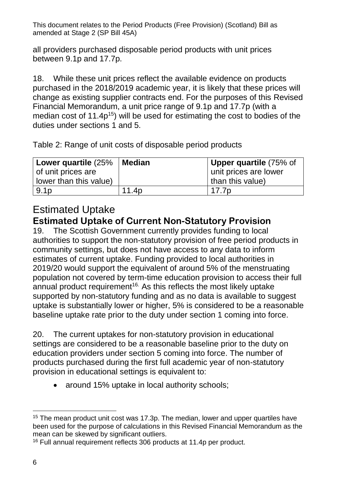all providers purchased disposable period products with unit prices between 9.1p and 17.7p.

18. While these unit prices reflect the available evidence on products purchased in the 2018/2019 academic year, it is likely that these prices will change as existing supplier contracts end. For the purposes of this Revised Financial Memorandum, a unit price range of 9.1p and 17.7p (with a median cost of  $11.4p^{15}$ ) will be used for estimating the cost to bodies of the duties under sections 1 and 5.

Table 2: Range of unit costs of disposable period products

| Lower quartile (25%    | <b>∣Median</b>    | Upper quartile (75% of |
|------------------------|-------------------|------------------------|
| of unit prices are     |                   | unit prices are lower  |
| lower than this value) |                   | than this value)       |
| 9.1 <sub>p</sub>       | 11.4 <sub>p</sub> | 17.7p                  |

#### Estimated Uptake **Estimated Uptake of Current Non-Statutory Provision**

19. The Scottish Government currently provides funding to local authorities to support the non-statutory provision of free period products in community settings, but does not have access to any data to inform estimates of current uptake. Funding provided to local authorities in 2019/20 would support the equivalent of around 5% of the menstruating population not covered by term-time education provision to access their full annual product requirement<sup>16.</sup> As this reflects the most likely uptake supported by non-statutory funding and as no data is available to suggest uptake is substantially lower or higher, 5% is considered to be a reasonable baseline uptake rate prior to the duty under section 1 coming into force.

20. The current uptakes for non-statutory provision in educational settings are considered to be a reasonable baseline prior to the duty on education providers under section 5 coming into force. The number of products purchased during the first full academic year of non-statutory provision in educational settings is equivalent to:

• around 15% uptake in local authority schools;

<sup>&</sup>lt;u>.</u> <sup>15</sup> The mean product unit cost was 17.3p. The median, lower and upper quartiles have been used for the purpose of calculations in this Revised Financial Memorandum as the mean can be skewed by significant outliers.

<sup>16</sup> Full annual requirement reflects 306 products at 11.4p per product.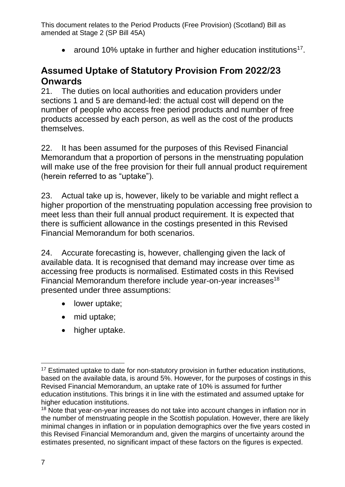• around 10% uptake in further and higher education institutions<sup>17</sup>.

#### **Assumed Uptake of Statutory Provision From 2022/23 Onwards**

21. The duties on local authorities and education providers under sections 1 and 5 are demand-led: the actual cost will depend on the number of people who access free period products and number of free products accessed by each person, as well as the cost of the products themselves.

22. It has been assumed for the purposes of this Revised Financial Memorandum that a proportion of persons in the menstruating population will make use of the free provision for their full annual product requirement (herein referred to as "uptake").

23. Actual take up is, however, likely to be variable and might reflect a higher proportion of the menstruating population accessing free provision to meet less than their full annual product requirement. It is expected that there is sufficient allowance in the costings presented in this Revised Financial Memorandum for both scenarios.

24. Accurate forecasting is, however, challenging given the lack of available data. It is recognised that demand may increase over time as accessing free products is normalised. Estimated costs in this Revised Financial Memorandum therefore include year-on-year increases<sup>18</sup> presented under three assumptions:

- lower uptake;
- mid uptake;
- higher uptake.

 $\overline{a}$ 

<sup>&</sup>lt;sup>17</sup> Estimated uptake to date for non-statutory provision in further education institutions, based on the available data, is around 5%. However, for the purposes of costings in this Revised Financial Memorandum, an uptake rate of 10% is assumed for further education institutions. This brings it in line with the estimated and assumed uptake for higher education institutions.

<sup>&</sup>lt;sup>18</sup> Note that year-on-year increases do not take into account changes in inflation nor in the number of menstruating people in the Scottish population. However, there are likely minimal changes in inflation or in population demographics over the five years costed in this Revised Financial Memorandum and, given the margins of uncertainty around the estimates presented, no significant impact of these factors on the figures is expected.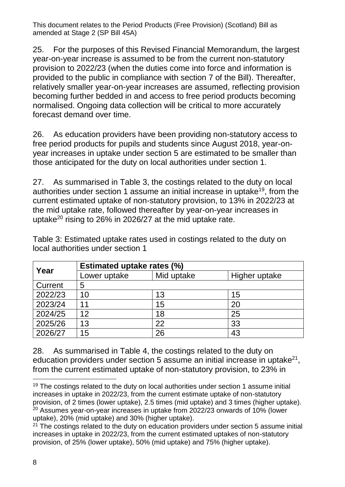25. For the purposes of this Revised Financial Memorandum, the largest year-on-year increase is assumed to be from the current non-statutory provision to 2022/23 (when the duties come into force and information is provided to the public in compliance with section 7 of the Bill). Thereafter, relatively smaller year-on-year increases are assumed, reflecting provision becoming further bedded in and access to free period products becoming normalised. Ongoing data collection will be critical to more accurately forecast demand over time.

26. As education providers have been providing non-statutory access to free period products for pupils and students since August 2018, year-onyear increases in uptake under section 5 are estimated to be smaller than those anticipated for the duty on local authorities under section 1.

27. As summarised in Table 3, the costings related to the duty on local authorities under section 1 assume an initial increase in uptake<sup>19</sup>, from the current estimated uptake of non-statutory provision, to 13% in 2022/23 at the mid uptake rate, followed thereafter by year-on-year increases in uptake<sup>20</sup> rising to 26% in 2026/27 at the mid uptake rate.

Table 3: Estimated uptake rates used in costings related to the duty on local authorities under section 1

| Year    | <b>Estimated uptake rates (%)</b> |            |               |
|---------|-----------------------------------|------------|---------------|
|         | Lower uptake                      | Mid uptake | Higher uptake |
| Current | 5                                 |            |               |
| 2022/23 | 10                                | 13         | 15            |
| 2023/24 | 11                                | 15         | 20            |
| 2024/25 | 12                                | 18         | 25            |
| 2025/26 | 13                                | 22         | 33            |
| 2026/27 | 15                                | 26         | 43            |

28. As summarised in Table 4, the costings related to the duty on education providers under section 5 assume an initial increase in uptake<sup>21</sup>, from the current estimated uptake of non-statutory provision, to 23% in

<sup>&</sup>lt;u>.</u> <sup>19</sup> The costings related to the duty on local authorities under section 1 assume initial increases in uptake in 2022/23, from the current estimate uptake of non-statutory provision, of 2 times (lower uptake), 2.5 times (mid uptake) and 3 times (higher uptake). <sup>20</sup> Assumes year-on-year increases in uptake from 2022/23 onwards of 10% (lower uptake), 20% (mid uptake) and 30% (higher uptake).

 $21$  The costings related to the duty on education providers under section 5 assume initial increases in uptake in 2022/23, from the current estimated uptakes of non-statutory provision, of 25% (lower uptake), 50% (mid uptake) and 75% (higher uptake).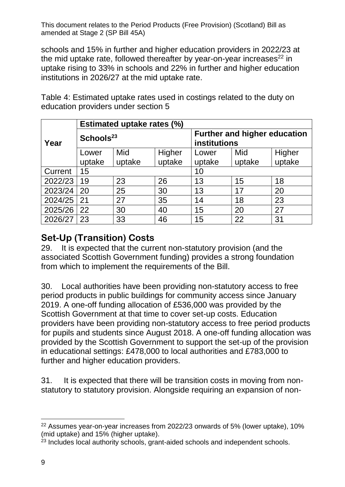schools and 15% in further and higher education providers in 2022/23 at the mid uptake rate, followed thereafter by year-on-year increases $^{22}$  in uptake rising to 33% in schools and 22% in further and higher education institutions in 2026/27 at the mid uptake rate.

Table 4: Estimated uptake rates used in costings related to the duty on education providers under section 5

|         |                       | <b>Estimated uptake rates (%)</b> |              |                                     |        |        |
|---------|-----------------------|-----------------------------------|--------------|-------------------------------------|--------|--------|
| Year    | Schools <sup>23</sup> |                                   | institutions | <b>Further and higher education</b> |        |        |
|         | Lower                 | Mid                               | Higher       | Lower                               | Mid    | Higher |
|         | uptake                | uptake                            | uptake       | uptake                              | uptake | uptake |
| Current | 15                    |                                   |              | 10                                  |        |        |
| 2022/23 | 19                    | 23                                | 26           | 13                                  | 15     | 18     |
| 2023/24 | 20                    | 25                                | 30           | 13                                  | 17     | 20     |
| 2024/25 | 21                    | 27                                | 35           | 14                                  | 18     | 23     |
| 2025/26 | 22                    | 30                                | 40           | 15                                  | 20     | 27     |
| 2026/27 | 23                    | 33                                | 46           | 15                                  | 22     | 31     |

# **Set-Up (Transition) Costs**

29. It is expected that the current non-statutory provision (and the associated Scottish Government funding) provides a strong foundation from which to implement the requirements of the Bill.

30. Local authorities have been providing non-statutory access to free period products in public buildings for community access since January 2019. A one-off funding allocation of £536,000 was provided by the Scottish Government at that time to cover set-up costs. Education providers have been providing non-statutory access to free period products for pupils and students since August 2018. A one-off funding allocation was provided by the Scottish Government to support the set-up of the provision in educational settings: £478,000 to local authorities and £783,000 to further and higher education providers.

31. It is expected that there will be transition costs in moving from nonstatutory to statutory provision. Alongside requiring an expansion of non-

 $\overline{a}$ <sup>22</sup> Assumes year-on-year increases from 2022/23 onwards of 5% (lower uptake), 10% (mid uptake) and 15% (higher uptake).

<sup>&</sup>lt;sup>23</sup> Includes local authority schools, grant-aided schools and independent schools.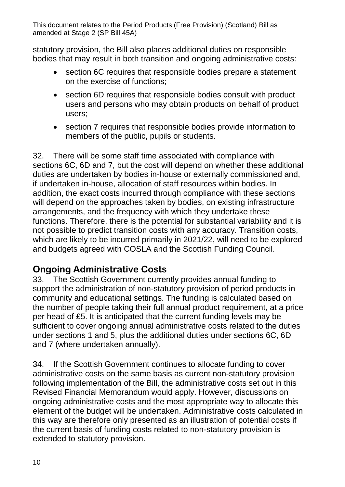statutory provision, the Bill also places additional duties on responsible bodies that may result in both transition and ongoing administrative costs:

- section 6C requires that responsible bodies prepare a statement on the exercise of functions;
- section 6D requires that responsible bodies consult with product users and persons who may obtain products on behalf of product users;
- section 7 requires that responsible bodies provide information to members of the public, pupils or students.

32. There will be some staff time associated with compliance with sections 6C, 6D and 7, but the cost will depend on whether these additional duties are undertaken by bodies in-house or externally commissioned and, if undertaken in-house, allocation of staff resources within bodies. In addition, the exact costs incurred through compliance with these sections will depend on the approaches taken by bodies, on existing infrastructure arrangements, and the frequency with which they undertake these functions. Therefore, there is the potential for substantial variability and it is not possible to predict transition costs with any accuracy. Transition costs, which are likely to be incurred primarily in 2021/22, will need to be explored and budgets agreed with COSLA and the Scottish Funding Council.

# **Ongoing Administrative Costs**

33. The Scottish Government currently provides annual funding to support the administration of non-statutory provision of period products in community and educational settings. The funding is calculated based on the number of people taking their full annual product requirement, at a price per head of £5. It is anticipated that the current funding levels may be sufficient to cover ongoing annual administrative costs related to the duties under sections 1 and 5, plus the additional duties under sections 6C, 6D and 7 (where undertaken annually).

34. If the Scottish Government continues to allocate funding to cover administrative costs on the same basis as current non-statutory provision following implementation of the Bill, the administrative costs set out in this Revised Financial Memorandum would apply. However, discussions on ongoing administrative costs and the most appropriate way to allocate this element of the budget will be undertaken. Administrative costs calculated in this way are therefore only presented as an illustration of potential costs if the current basis of funding costs related to non-statutory provision is extended to statutory provision.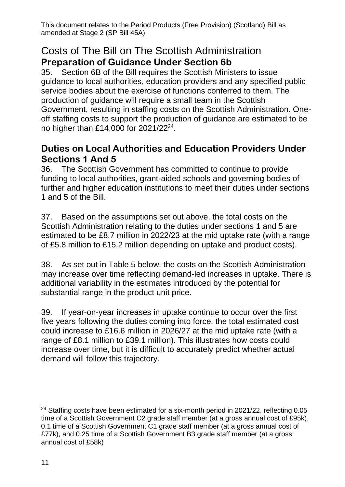#### Costs of The Bill on The Scottish Administration **Preparation of Guidance Under Section 6b**

35. Section 6B of the Bill requires the Scottish Ministers to issue guidance to local authorities, education providers and any specified public service bodies about the exercise of functions conferred to them. The production of guidance will require a small team in the Scottish Government, resulting in staffing costs on the Scottish Administration. Oneoff staffing costs to support the production of guidance are estimated to be no higher than £14,000 for 2021/22<sup>24</sup>.

#### **Duties on Local Authorities and Education Providers Under Sections 1 And 5**

36. The Scottish Government has committed to continue to provide funding to local authorities, grant-aided schools and governing bodies of further and higher education institutions to meet their duties under sections 1 and 5 of the Bill.

37. Based on the assumptions set out above, the total costs on the Scottish Administration relating to the duties under sections 1 and 5 are estimated to be £8.7 million in 2022/23 at the mid uptake rate (with a range of £5.8 million to £15.2 million depending on uptake and product costs).

38. As set out in Table 5 below, the costs on the Scottish Administration may increase over time reflecting demand-led increases in uptake. There is additional variability in the estimates introduced by the potential for substantial range in the product unit price.

39. If year-on-year increases in uptake continue to occur over the first five years following the duties coming into force, the total estimated cost could increase to £16.6 million in 2026/27 at the mid uptake rate (with a range of £8.1 million to £39.1 million). This illustrates how costs could increase over time, but it is difficult to accurately predict whether actual demand will follow this trajectory.

 $\overline{a}$ <sup>24</sup> Staffing costs have been estimated for a six-month period in 2021/22, reflecting 0.05 time of a Scottish Government C2 grade staff member (at a gross annual cost of £95k), 0.1 time of a Scottish Government C1 grade staff member (at a gross annual cost of £77k), and 0.25 time of a Scottish Government B3 grade staff member (at a gross annual cost of £58k)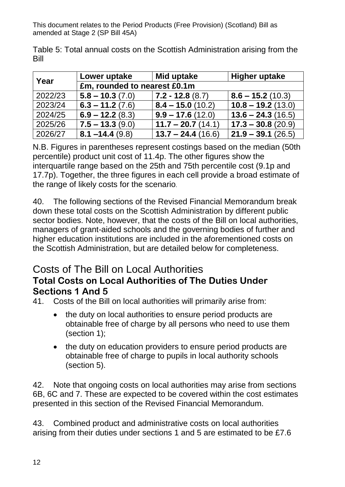Table 5: Total annual costs on the Scottish Administration arising from the Bill

| Year    | Lower uptake                 | Mid uptake          | <b>Higher uptake</b> |
|---------|------------------------------|---------------------|----------------------|
|         | £m, rounded to nearest £0.1m |                     |                      |
| 2022/23 | $5.8 - 10.3(7.0)$            | $7.2 - 12.8(8.7)$   | $8.6 - 15.2(10.3)$   |
| 2023/24 | $6.3 - 11.2(7.6)$            | $8.4 - 15.0(10.2)$  | $10.8 - 19.2(13.0)$  |
| 2024/25 | $6.9 - 12.2(8.3)$            | $9.9 - 17.6(12.0)$  | $13.6 - 24.3(16.5)$  |
| 2025/26 | $7.5 - 13.3(9.0)$            | $11.7 - 20.7(14.1)$ | $17.3 - 30.8(20.9)$  |
| 2026/27 | $8.1 - 14.4(9.8)$            | $13.7 - 24.4(16.6)$ | $21.9 - 39.1(26.5)$  |

N.B. Figures in parentheses represent costings based on the median (50th percentile) product unit cost of 11.4p. The other figures show the interquartile range based on the 25th and 75th percentile cost (9.1p and 17.7p). Together, the three figures in each cell provide a broad estimate of the range of likely costs for the scenario.

40. The following sections of the Revised Financial Memorandum break down these total costs on the Scottish Administration by different public sector bodies. Note, however, that the costs of the Bill on local authorities, managers of grant-aided schools and the governing bodies of further and higher education institutions are included in the aforementioned costs on the Scottish Administration, but are detailed below for completeness.

## Costs of The Bill on Local Authorities **Total Costs on Local Authorities of The Duties Under Sections 1 And 5**

41. Costs of the Bill on local authorities will primarily arise from:

- the duty on local authorities to ensure period products are obtainable free of charge by all persons who need to use them (section 1);
- the duty on education providers to ensure period products are obtainable free of charge to pupils in local authority schools (section 5).

42. Note that ongoing costs on local authorities may arise from sections 6B, 6C and 7. These are expected to be covered within the cost estimates presented in this section of the Revised Financial Memorandum.

43. Combined product and administrative costs on local authorities arising from their duties under sections 1 and 5 are estimated to be £7.6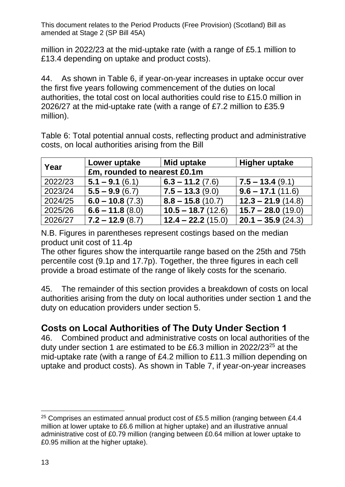million in 2022/23 at the mid-uptake rate (with a range of £5.1 million to £13.4 depending on uptake and product costs).

44. As shown in Table 6, if year-on-year increases in uptake occur over the first five years following commencement of the duties on local authorities, the total cost on local authorities could rise to £15.0 million in 2026/27 at the mid-uptake rate (with a range of £7.2 million to £35.9 million).

Table 6: Total potential annual costs, reflecting product and administrative costs, on local authorities arising from the Bill

| Year    | Lower uptake                 | Mid uptake          | Higher uptake            |
|---------|------------------------------|---------------------|--------------------------|
|         | £m, rounded to nearest £0.1m |                     |                          |
| 2022/23 | $5.1 - 9.1(6.1)$             | $6.3 - 11.2(7.6)$   | $\vert$ 7.5 – 13.4 (9.1) |
| 2023/24 | $5.5 - 9.9(6.7)$             | $7.5 - 13.3(9.0)$   | $9.6 - 17.1(11.6)$       |
| 2024/25 | $6.0 - 10.8(7.3)$            | $8.8 - 15.8(10.7)$  | $12.3 - 21.9(14.8)$      |
| 2025/26 | $6.6 - 11.8(8.0)$            | $10.5 - 18.7(12.6)$ | $15.7 - 28.0(19.0)$      |
| 2026/27 | $7.2 - 12.9(8.7)$            | $12.4 - 22.2(15.0)$ | $20.1 - 35.9(24.3)$      |

N.B. Figures in parentheses represent costings based on the median product unit cost of 11.4p

The other figures show the interquartile range based on the 25th and 75th percentile cost (9.1p and 17.7p). Together, the three figures in each cell provide a broad estimate of the range of likely costs for the scenario.

45. The remainder of this section provides a breakdown of costs on local authorities arising from the duty on local authorities under section 1 and the duty on education providers under section 5.

# **Costs on Local Authorities of The Duty Under Section 1**

46. Combined product and administrative costs on local authorities of the duty under section 1 are estimated to be £6.3 million in 2022/23<sup>25</sup> at the mid-uptake rate (with a range of £4.2 million to £11.3 million depending on uptake and product costs). As shown in Table 7, if year-on-year increases

 $\overline{a}$ <sup>25</sup> Comprises an estimated annual product cost of £5.5 million (ranging between £4.4 million at lower uptake to £6.6 million at higher uptake) and an illustrative annual administrative cost of £0.79 million (ranging between £0.64 million at lower uptake to £0.95 million at the higher uptake).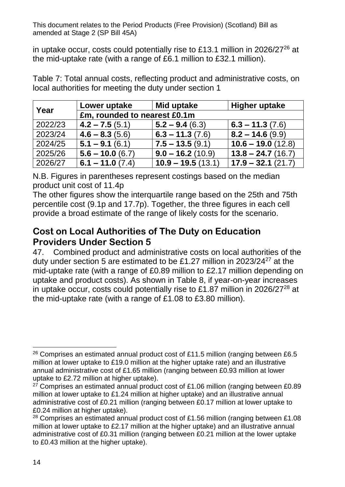in uptake occur, costs could potentially rise to £13.1 million in 2026/27 $^{26}$  at the mid-uptake rate (with a range of £6.1 million to £32.1 million).

Table 7: Total annual costs, reflecting product and administrative costs, on local authorities for meeting the duty under section 1

| Year    | Lower uptake                 | Mid uptake          | <b>Higher uptake</b> |
|---------|------------------------------|---------------------|----------------------|
|         | £m, rounded to nearest £0.1m |                     |                      |
| 2022/23 | $4.2 - 7.5(5.1)$             | $5.2 - 9.4(6.3)$    | $  6.3 - 11.3 (7.6)$ |
| 2023/24 | $4.6 - 8.3(5.6)$             | $6.3 - 11.3(7.6)$   | $8.2 - 14.6(9.9)$    |
| 2024/25 | $5.1 - 9.1(6.1)$             | $7.5 - 13.5(9.1)$   | $10.6 - 19.0(12.8)$  |
| 2025/26 | $5.6 - 10.0(6.7)$            | $9.0 - 16.2(10.9)$  | $13.8 - 24.7(16.7)$  |
| 2026/27 | $6.1 - 11.0(7.4)$            | $10.9 - 19.5(13.1)$ | $17.9 - 32.1(21.7)$  |

N.B. Figures in parentheses represent costings based on the median product unit cost of 11.4p

The other figures show the interquartile range based on the 25th and 75th percentile cost (9.1p and 17.7p). Together, the three figures in each cell provide a broad estimate of the range of likely costs for the scenario.

#### **Cost on Local Authorities of The Duty on Education Providers Under Section 5**

47. Combined product and administrative costs on local authorities of the duty under section 5 are estimated to be £1.27 million in 2023/24 $27$  at the mid-uptake rate (with a range of £0.89 million to £2.17 million depending on uptake and product costs). As shown in Table 8, if year-on-year increases in uptake occur, costs could potentially rise to £1.87 million in 2026/27<sup>28</sup> at the mid-uptake rate (with a range of £1.08 to £3.80 million).

<sup>&</sup>lt;u>.</u> <sup>26</sup> Comprises an estimated annual product cost of £11.5 million (ranging between £6.5 million at lower uptake to £19.0 million at the higher uptake rate) and an illustrative annual administrative cost of £1.65 million (ranging between £0.93 million at lower uptake to £2.72 million at higher uptake).

 $27$  Comprises an estimated annual product cost of £1.06 million (ranging between £0.89 million at lower uptake to £1.24 million at higher uptake) and an illustrative annual administrative cost of £0.21 million (ranging between £0.17 million at lower uptake to £0.24 million at higher uptake).

 $28$  Comprises an estimated annual product cost of £1.56 million (ranging between £1.08 million at lower uptake to £2.17 million at the higher uptake) and an illustrative annual administrative cost of £0.31 million (ranging between £0.21 million at the lower uptake to £0.43 million at the higher uptake).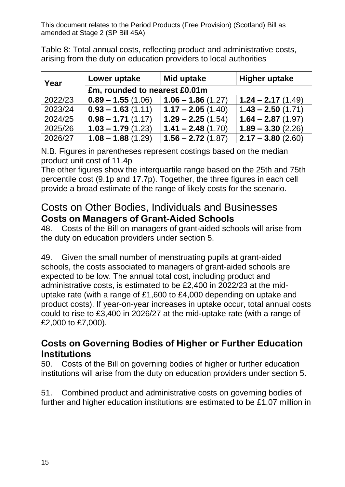Table 8: Total annual costs, reflecting product and administrative costs, arising from the duty on education providers to local authorities

| Year    | Lower uptake                  | Mid uptake                 | <b>Higher uptake</b> |
|---------|-------------------------------|----------------------------|----------------------|
|         | £m, rounded to nearest £0.01m |                            |                      |
| 2022/23 | $0.89 - 1.55(1.06)$           | $\vert$ 1.06 – 1.86 (1.27) | $1.24 - 2.17(1.49)$  |
| 2023/24 | $0.93 - 1.63(1.11)$           | $1.17 - 2.05(1.40)$        | $1.43 - 2.50(1.71)$  |
| 2024/25 | $0.98 - 1.71(1.17)$           | $1.29 - 2.25(1.54)$        | $1.64 - 2.87(1.97)$  |
| 2025/26 | $1.03 - 1.79(1.23)$           | $1.41 - 2.48(1.70)$        | $1.89 - 3.30(2.26)$  |
| 2026/27 | $1.08 - 1.88(1.29)$           | $1.56 - 2.72(1.87)$        | $2.17 - 3.80$ (2.60) |

N.B. Figures in parentheses represent costings based on the median product unit cost of 11.4p

The other figures show the interquartile range based on the 25th and 75th percentile cost (9.1p and 17.7p). Together, the three figures in each cell provide a broad estimate of the range of likely costs for the scenario.

## Costs on Other Bodies, Individuals and Businesses **Costs on Managers of Grant-Aided Schools**

48. Costs of the Bill on managers of grant-aided schools will arise from the duty on education providers under section 5.

49. Given the small number of menstruating pupils at grant-aided schools, the costs associated to managers of grant-aided schools are expected to be low. The annual total cost, including product and administrative costs, is estimated to be £2,400 in 2022/23 at the miduptake rate (with a range of £1,600 to £4,000 depending on uptake and product costs). If year-on-year increases in uptake occur, total annual costs could to rise to £3,400 in 2026/27 at the mid-uptake rate (with a range of £2,000 to £7,000).

#### **Costs on Governing Bodies of Higher or Further Education Institutions**

50. Costs of the Bill on governing bodies of higher or further education institutions will arise from the duty on education providers under section 5.

51. Combined product and administrative costs on governing bodies of further and higher education institutions are estimated to be £1.07 million in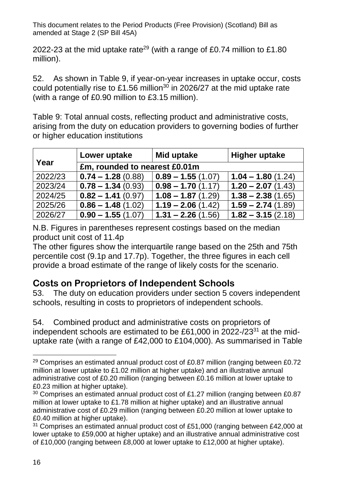2022-23 at the mid uptake rate<sup>29</sup> (with a range of £0.74 million to £1.80 million).

52. As shown in Table 9, if year-on-year increases in uptake occur, costs could potentially rise to £1.56 million<sup>30</sup> in 2026/27 at the mid uptake rate (with a range of £0.90 million to £3.15 million).

Table 9: Total annual costs, reflecting product and administrative costs, arising from the duty on education providers to governing bodies of further or higher education institutions

|         | Lower uptake                  | Mid uptake                 | <b>Higher uptake</b> |
|---------|-------------------------------|----------------------------|----------------------|
| Year    | £m, rounded to nearest £0.01m |                            |                      |
| 2022/23 | $0.74 - 1.28(0.88)$           | $\vert$ 0.89 – 1.55 (1.07) | $1.04 - 1.80(1.24)$  |
| 2023/24 | $0.78 - 1.34(0.93)$           | $  0.98 - 1.70 (1.17)$     | $1.20 - 2.07(1.43)$  |
| 2024/25 | $0.82 - 1.41(0.97)$           | $1.08 - 1.87(1.29)$        | $1.38 - 2.38(1.65)$  |
| 2025/26 | $0.86 - 1.48(1.02)$           | $1.19 - 2.06(1.42)$        | $1.59 - 2.74(1.89)$  |
| 2026/27 | $0.90 - 1.55(1.07)$           | $1.31 - 2.26(1.56)$        | $1.82 - 3.15(2.18)$  |

N.B. Figures in parentheses represent costings based on the median product unit cost of 11.4p

The other figures show the interquartile range based on the 25th and 75th percentile cost (9.1p and 17.7p). Together, the three figures in each cell provide a broad estimate of the range of likely costs for the scenario.

### **Costs on Proprietors of Independent Schools**

53. The duty on education providers under section 5 covers independent schools, resulting in costs to proprietors of independent schools.

54. Combined product and administrative costs on proprietors of independent schools are estimated to be £61,000 in 2022- $/23^{31}$  at the miduptake rate (with a range of £42,000 to £104,000). As summarised in Table

<sup>-</sup> $29$  Comprises an estimated annual product cost of £0.87 million (ranging between £0.72 million at lower uptake to £1.02 million at higher uptake) and an illustrative annual administrative cost of £0.20 million (ranging between £0.16 million at lower uptake to £0.23 million at higher uptake).

<sup>&</sup>lt;sup>30</sup> Comprises an estimated annual product cost of £1.27 million (ranging between £0.87 million at lower uptake to £1.78 million at higher uptake) and an illustrative annual administrative cost of £0.29 million (ranging between £0.20 million at lower uptake to £0.40 million at higher uptake).

<sup>&</sup>lt;sup>31</sup> Comprises an estimated annual product cost of £51,000 (ranging between £42,000 at lower uptake to £59,000 at higher uptake) and an illustrative annual administrative cost of £10,000 (ranging between £8,000 at lower uptake to £12,000 at higher uptake).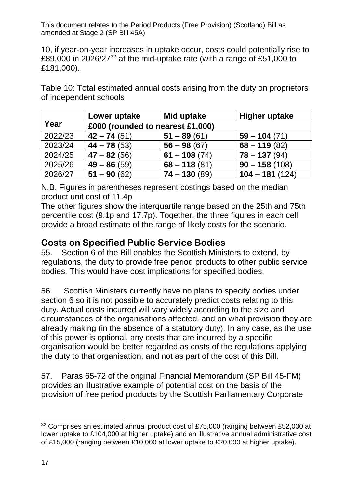10, if year-on-year increases in uptake occur, costs could potentially rise to £89,000 in 2026/27<sup>32</sup> at the mid-uptake rate (with a range of £51,000 to £181,000).

Table 10: Total estimated annual costs arising from the duty on proprietors of independent schools

|         | Lower uptake                     | Mid uptake     | <b>Higher uptake</b> |
|---------|----------------------------------|----------------|----------------------|
| Year    | £000 (rounded to nearest £1,000) |                |                      |
| 2022/23 | $42 - 74(51)$                    | $51 - 89(61)$  | $59 - 104(71)$       |
| 2023/24 | $44 - 78(53)$                    | $56 - 98(67)$  | $68 - 119(82)$       |
| 2024/25 | $47 - 82(56)$                    | $61 - 108(74)$ | $78 - 137(94)$       |
| 2025/26 | $49 - 86(59)$                    | $68 - 118(81)$ | $90 - 158(108)$      |
| 2026/27 | $51 - 90(62)$                    | $74 - 130(89)$ | $104 - 181(124)$     |

N.B. Figures in parentheses represent costings based on the median product unit cost of 11.4p

The other figures show the interquartile range based on the 25th and 75th percentile cost (9.1p and 17.7p). Together, the three figures in each cell provide a broad estimate of the range of likely costs for the scenario.

#### **Costs on Specified Public Service Bodies**

55. Section 6 of the Bill enables the Scottish Ministers to extend, by regulations, the duty to provide free period products to other public service bodies. This would have cost implications for specified bodies.

56. Scottish Ministers currently have no plans to specify bodies under section 6 so it is not possible to accurately predict costs relating to this duty. Actual costs incurred will vary widely according to the size and circumstances of the organisations affected, and on what provision they are already making (in the absence of a statutory duty). In any case, as the use of this power is optional, any costs that are incurred by a specific organisation would be better regarded as costs of the regulations applying the duty to that organisation, and not as part of the cost of this Bill.

57. Paras 65-72 of the original Financial Memorandum (SP Bill 45-FM) provides an illustrative example of potential cost on the basis of the provision of free period products by the Scottish Parliamentary Corporate

 $\overline{a}$ <sup>32</sup> Comprises an estimated annual product cost of £75,000 (ranging between £52,000 at lower uptake to £104,000 at higher uptake) and an illustrative annual administrative cost of £15,000 (ranging between £10,000 at lower uptake to £20,000 at higher uptake).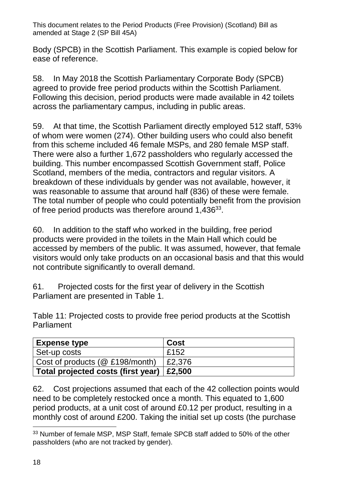Body (SPCB) in the Scottish Parliament. This example is copied below for ease of reference.

58. In May 2018 the Scottish Parliamentary Corporate Body (SPCB) agreed to provide free period products within the Scottish Parliament. Following this decision, period products were made available in 42 toilets across the parliamentary campus, including in public areas.

59. At that time, the Scottish Parliament directly employed 512 staff, 53% of whom were women (274). Other building users who could also benefit from this scheme included 46 female MSPs, and 280 female MSP staff. There were also a further 1,672 passholders who regularly accessed the building. This number encompassed Scottish Government staff, Police Scotland, members of the media, contractors and regular visitors. A breakdown of these individuals by gender was not available, however, it was reasonable to assume that around half (836) of these were female. The total number of people who could potentially benefit from the provision of free period products was therefore around 1,436<sup>33</sup>.

60. In addition to the staff who worked in the building, free period products were provided in the toilets in the Main Hall which could be accessed by members of the public. It was assumed, however, that female visitors would only take products on an occasional basis and that this would not contribute significantly to overall demand.

61. Projected costs for the first year of delivery in the Scottish Parliament are presented in Table 1.

Table 11: Projected costs to provide free period products at the Scottish Parliament

| <b>Expense type</b>                | Cost           |
|------------------------------------|----------------|
| Set-up costs                       | £152           |
| Cost of products ( $@$ £198/month) | £2,376         |
| Total projected costs (first year) | $\vert$ £2,500 |

62. Cost projections assumed that each of the 42 collection points would need to be completely restocked once a month. This equated to 1,600 period products, at a unit cost of around £0.12 per product, resulting in a monthly cost of around £200. Taking the initial set up costs (the purchase

<sup>-</sup><sup>33</sup> Number of female MSP, MSP Staff, female SPCB staff added to 50% of the other passholders (who are not tracked by gender).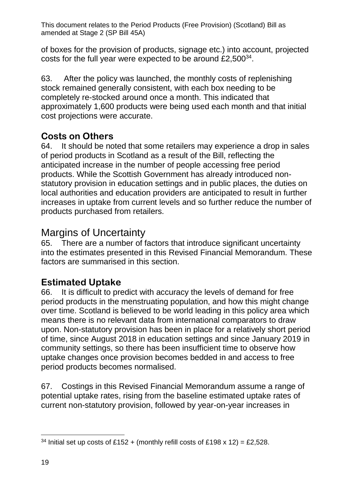of boxes for the provision of products, signage etc.) into account, projected costs for the full year were expected to be around  $£2,500^{34}$ .

63. After the policy was launched, the monthly costs of replenishing stock remained generally consistent, with each box needing to be completely re-stocked around once a month. This indicated that approximately 1,600 products were being used each month and that initial cost projections were accurate.

# **Costs on Others**

64. It should be noted that some retailers may experience a drop in sales of period products in Scotland as a result of the Bill, reflecting the anticipated increase in the number of people accessing free period products. While the Scottish Government has already introduced nonstatutory provision in education settings and in public places, the duties on local authorities and education providers are anticipated to result in further increases in uptake from current levels and so further reduce the number of products purchased from retailers.

# Margins of Uncertainty

65. There are a number of factors that introduce significant uncertainty into the estimates presented in this Revised Financial Memorandum. These factors are summarised in this section.

# **Estimated Uptake**

66. It is difficult to predict with accuracy the levels of demand for free period products in the menstruating population, and how this might change over time. Scotland is believed to be world leading in this policy area which means there is no relevant data from international comparators to draw upon. Non-statutory provision has been in place for a relatively short period of time, since August 2018 in education settings and since January 2019 in community settings, so there has been insufficient time to observe how uptake changes once provision becomes bedded in and access to free period products becomes normalised.

67. Costings in this Revised Financial Memorandum assume a range of potential uptake rates, rising from the baseline estimated uptake rates of current non-statutory provision, followed by year-on-year increases in

 $\overline{a}$ <sup>34</sup> Initial set up costs of £152 + (monthly refill costs of £198 x 12) = £2,528.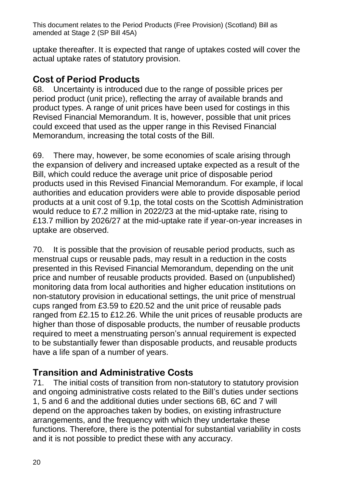uptake thereafter. It is expected that range of uptakes costed will cover the actual uptake rates of statutory provision.

## **Cost of Period Products**

68. Uncertainty is introduced due to the range of possible prices per period product (unit price), reflecting the array of available brands and product types. A range of unit prices have been used for costings in this Revised Financial Memorandum. It is, however, possible that unit prices could exceed that used as the upper range in this Revised Financial Memorandum, increasing the total costs of the Bill.

69. There may, however, be some economies of scale arising through the expansion of delivery and increased uptake expected as a result of the Bill, which could reduce the average unit price of disposable period products used in this Revised Financial Memorandum. For example, if local authorities and education providers were able to provide disposable period products at a unit cost of 9.1p, the total costs on the Scottish Administration would reduce to £7.2 million in 2022/23 at the mid-uptake rate, rising to £13.7 million by 2026/27 at the mid-uptake rate if year-on-year increases in uptake are observed.

70. It is possible that the provision of reusable period products, such as menstrual cups or reusable pads, may result in a reduction in the costs presented in this Revised Financial Memorandum, depending on the unit price and number of reusable products provided. Based on (unpublished) monitoring data from local authorities and higher education institutions on non-statutory provision in educational settings, the unit price of menstrual cups ranged from £3.59 to £20.52 and the unit price of reusable pads ranged from £2.15 to £12.26. While the unit prices of reusable products are higher than those of disposable products, the number of reusable products required to meet a menstruating person's annual requirement is expected to be substantially fewer than disposable products, and reusable products have a life span of a number of years.

# **Transition and Administrative Costs**

71. The initial costs of transition from non-statutory to statutory provision and ongoing administrative costs related to the Bill's duties under sections 1, 5 and 6 and the additional duties under sections 6B, 6C and 7 will depend on the approaches taken by bodies, on existing infrastructure arrangements, and the frequency with which they undertake these functions. Therefore, there is the potential for substantial variability in costs and it is not possible to predict these with any accuracy.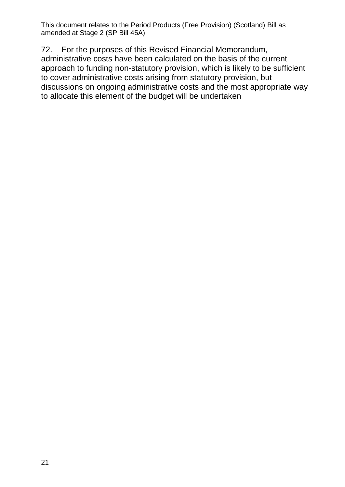72. For the purposes of this Revised Financial Memorandum, administrative costs have been calculated on the basis of the current approach to funding non-statutory provision, which is likely to be sufficient to cover administrative costs arising from statutory provision, but discussions on ongoing administrative costs and the most appropriate way to allocate this element of the budget will be undertaken